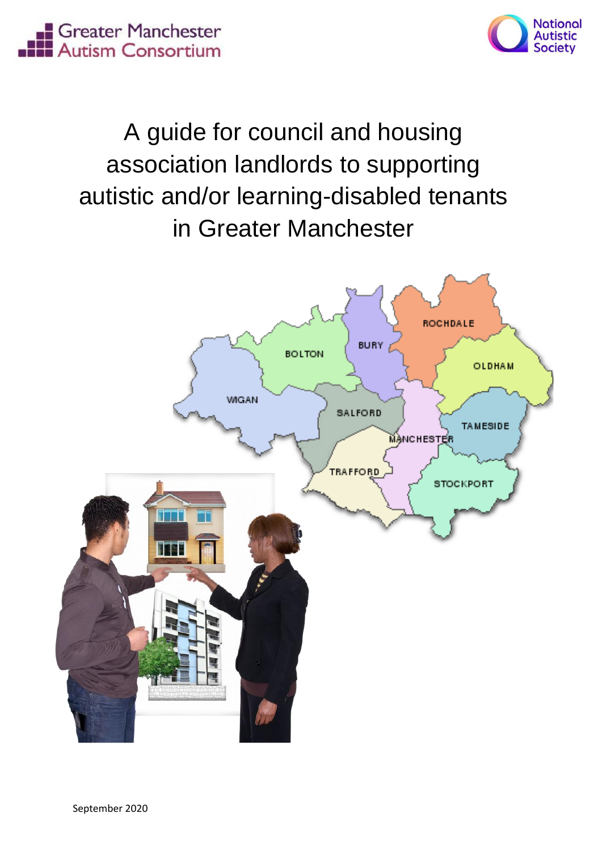

# A guide for council and housing association landlords to supporting autistic and/or learning-disabled tenants in Greater Manchester

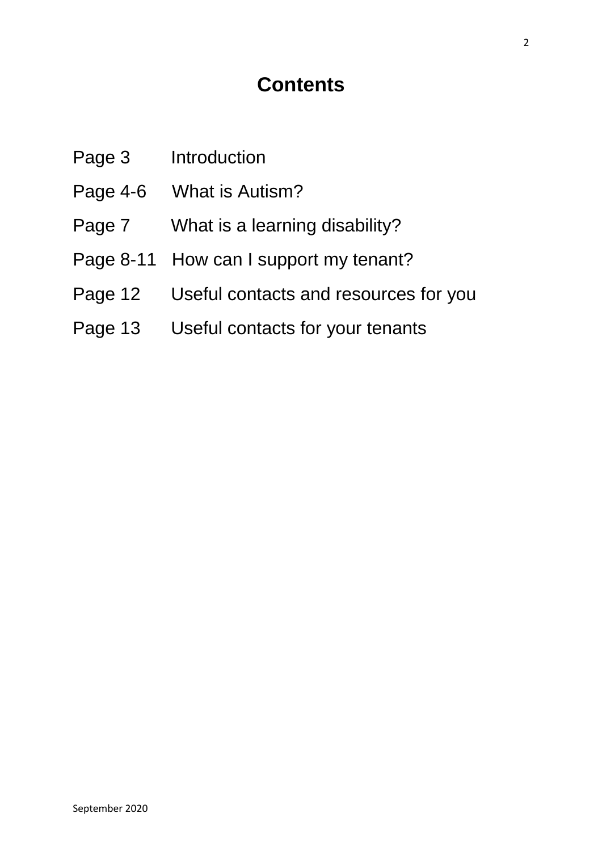# **Contents**

- Page 3 Introduction
- Page 4-6 What is Autism?
- Page 7 What is a learning disability?
- Page 8-11 How can I support my tenant?
- Page 12 Useful contacts and resources for you
- Page 13 Useful contacts for your tenants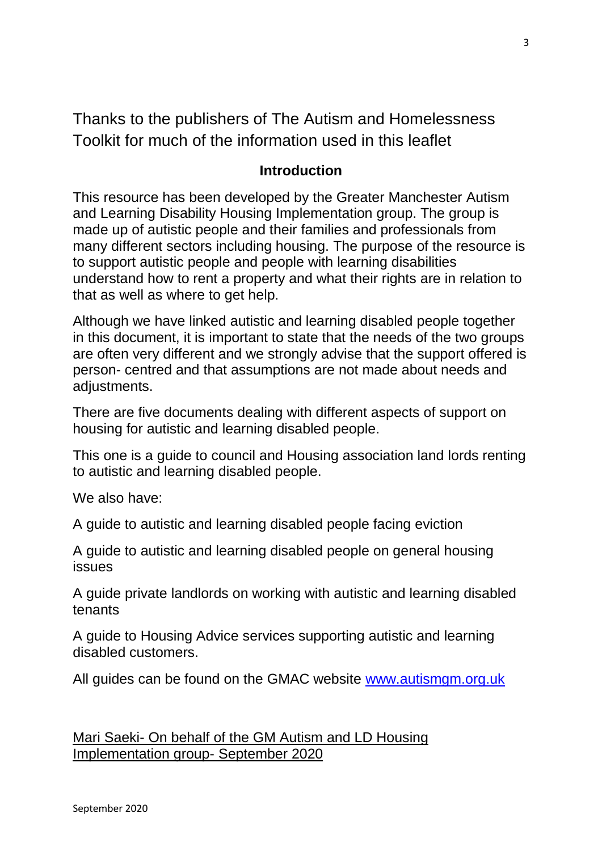Thanks to the publishers of The Autism and Homelessness Toolkit for much of the information used in this leaflet

#### **Introduction**

This resource has been developed by the Greater Manchester Autism and Learning Disability Housing Implementation group. The group is made up of autistic people and their families and professionals from many different sectors including housing. The purpose of the resource is to support autistic people and people with learning disabilities understand how to rent a property and what their rights are in relation to that as well as where to get help.

Although we have linked autistic and learning disabled people together in this document, it is important to state that the needs of the two groups are often very different and we strongly advise that the support offered is person- centred and that assumptions are not made about needs and adjustments.

There are five documents dealing with different aspects of support on housing for autistic and learning disabled people.

This one is a guide to council and Housing association land lords renting to autistic and learning disabled people.

We also have:

A guide to autistic and learning disabled people facing eviction

A guide to autistic and learning disabled people on general housing issues

A guide private landlords on working with autistic and learning disabled tenants

A guide to Housing Advice services supporting autistic and learning disabled customers.

All guides can be found on the GMAC website [www.autismgm.org.uk](http://www.autismgm.org.uk/)

Mari Saeki- On behalf of the GM Autism and LD Housing Implementation group- September 2020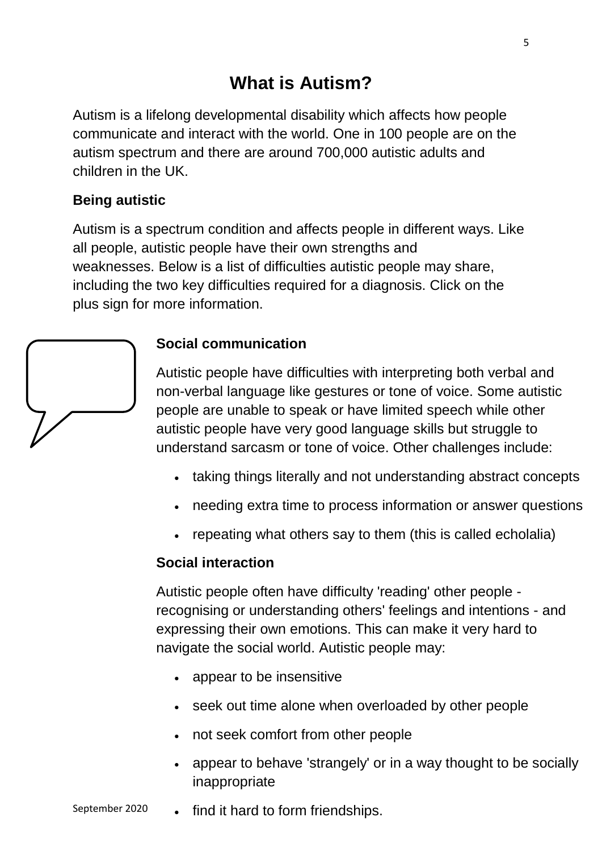# **What is Autism?**

Autism is a lifelong developmental disability which affects how people communicate and interact with the world. One in 100 people are on the autism spectrum and there are around 700,000 autistic adults and children in the UK.

#### **Being autistic**

Autism is a spectrum condition and affects people in different ways. Like all people, autistic people have their own strengths and weaknesses. Below is a list of difficulties autistic people may share, including the two key difficulties required for a diagnosis. Click on the plus sign for more information.

#### **Social communication**

Autistic people have difficulties with interpreting both verbal and non-verbal language like gestures or tone of voice. Some autistic people are unable to speak or have limited speech while other autistic people have very good language skills but struggle to understand sarcasm or tone of voice. Other challenges include:

- taking things literally and not understanding abstract concepts
- needing extra time to process information or answer questions
- repeating what others say to them (this is called echolalia)

#### **Social interaction**

Autistic people often have difficulty 'reading' other people recognising or understanding others' feelings and intentions - and expressing their own emotions. This can make it very hard to navigate the social world. Autistic people may:

- appear to be insensitive
- seek out time alone when overloaded by other people
- not seek comfort from other people
- appear to behave 'strangely' or in a way thought to be socially inappropriate
- September 2020 find it hard to form friendships.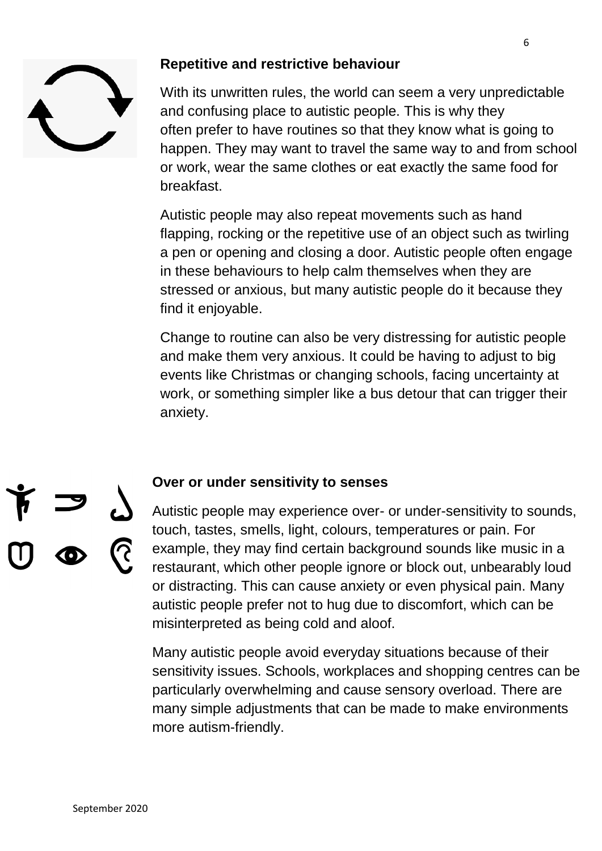

#### **Repetitive and restrictive behaviour**

With its unwritten rules, the world can seem a very unpredictable and confusing place to autistic people. This is why they often prefer to have routines so that they know what is going to happen. They may want to travel the same way to and from school or work, wear the same clothes or eat exactly the same food for breakfast.

Autistic people may also repeat movements such as hand flapping, rocking or the repetitive use of an object such as twirling a pen or opening and closing a door. Autistic people often engage in these behaviours to help calm themselves when they are stressed or anxious, but many autistic people do it because they find it enjoyable.

Change to routine can also be very distressing for autistic people and make them very anxious. It could be having to adjust to big events like Christmas or changing schools, facing uncertainty at work, or something simpler like a bus detour that can trigger their anxiety.



#### **Over or under sensitivity to senses**

Autistic people may experience over- or under-sensitivity to sounds, touch, tastes, smells, light, colours, temperatures or pain. For example, they may find certain background sounds like music in a restaurant, which other people ignore or block out, unbearably loud or distracting. This can cause anxiety or even physical pain. Many autistic people prefer not to hug due to discomfort, which can be misinterpreted as being cold and aloof.

Many autistic people avoid everyday situations because of their sensitivity issues. Schools, workplaces and shopping centres can be particularly overwhelming and cause sensory overload. There are many simple adjustments that can be made to make environments more autism-friendly.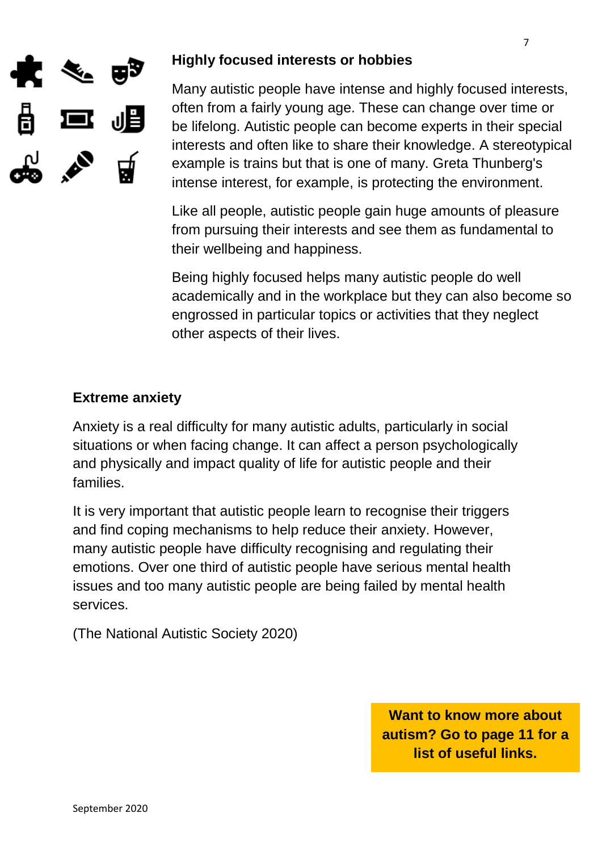

#### **Highly focused interests or hobbies**

Many autistic people have intense and highly focused interests, often from a fairly young age. These can change over time or be lifelong. Autistic people can become experts in their special interests and often like to share their knowledge. A stereotypical example is trains but that is one of many. Greta Thunberg's intense interest, for example, is protecting the environment.

Like all people, autistic people gain huge amounts of pleasure from pursuing their interests and see them as fundamental to their wellbeing and happiness.

Being highly focused helps many autistic people do well academically and in the workplace but they can also become so engrossed in particular topics or activities that they neglect other aspects of their lives.

#### **Extreme anxiety**

Anxiety is a real difficulty for many autistic adults, particularly in social situations or when facing change. It can affect a person psychologically and physically and impact quality of life for autistic people and their families.

It is very important that autistic people learn to recognise their triggers and find coping mechanisms to help reduce their anxiety. However, many autistic people have difficulty recognising and regulating their emotions. Over one third of autistic people have serious mental health issues and too many autistic people are being failed by mental health services.

(The National Autistic Society 2020)

**Want to know more about autism? Go to page 11 for a list of useful links.**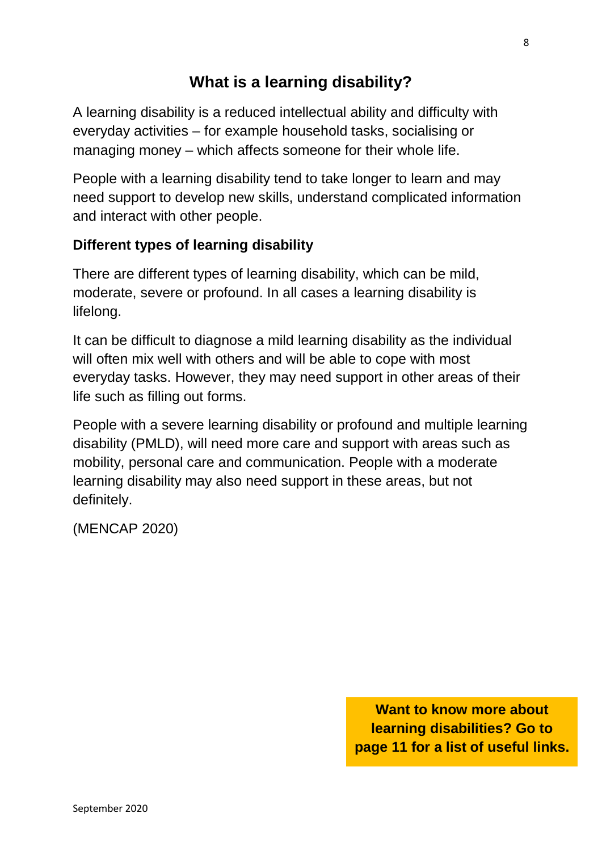### **What is a learning disability?**

A learning disability is a reduced intellectual ability and difficulty with everyday activities – for example household tasks, socialising or managing money – which affects someone for their whole life.

People with a learning disability tend to take longer to learn and may need support to develop new skills, understand complicated information and interact with other people.

#### **Different types of learning disability**

There are different types of learning disability, which can be mild, moderate, severe or profound. In all cases a learning disability is lifelong.

It can be difficult to diagnose a mild learning disability as the individual will often mix well with others and will be able to cope with most everyday tasks. However, they may need support in other areas of their life such as filling out forms.

People with a severe learning disability or profound and multiple learning disability (PMLD), will need more care and support with areas such as mobility, personal care and communication. People with a moderate learning disability may also need support in these areas, but not definitely.

(MENCAP 2020)

**Want to know more about learning disabilities? Go to page 11 for a list of useful links.**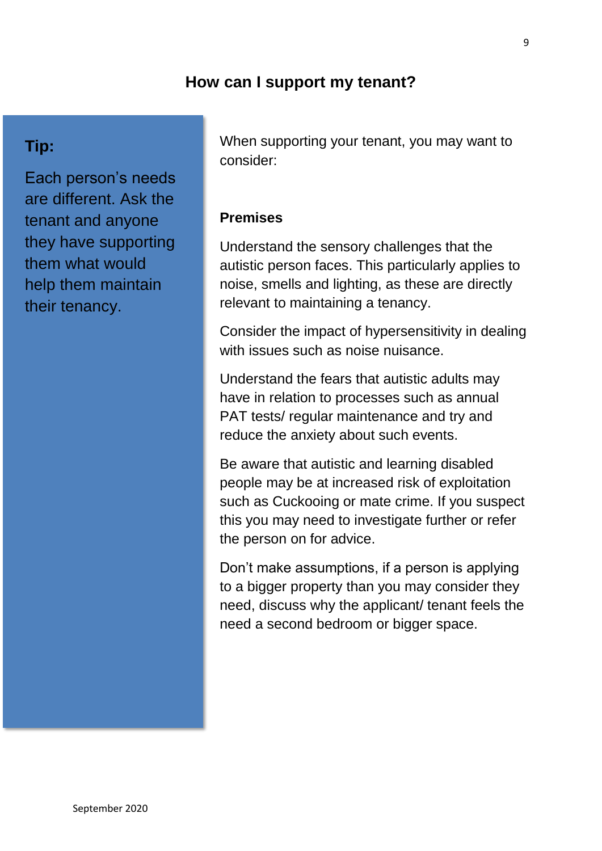#### **How can I support my tenant?**

#### **Tip:**

Each person's needs are different. Ask the tenant and anyone they have supporting them what would help them maintain their tenancy.

When supporting your tenant, you may want to consider:

#### **Premises**

Understand the sensory challenges that the autistic person faces. This particularly applies to noise, smells and lighting, as these are directly relevant to maintaining a tenancy.

Consider the impact of hypersensitivity in dealing with issues such as noise nuisance.

Understand the fears that autistic adults may have in relation to processes such as annual PAT tests/ regular maintenance and try and reduce the anxiety about such events.

Be aware that autistic and learning disabled people may be at increased risk of exploitation such as Cuckooing or mate crime. If you suspect this you may need to investigate further or refer the person on for advice.

Don't make assumptions, if a person is applying to a bigger property than you may consider they need, discuss why the applicant/ tenant feels the need a second bedroom or bigger space.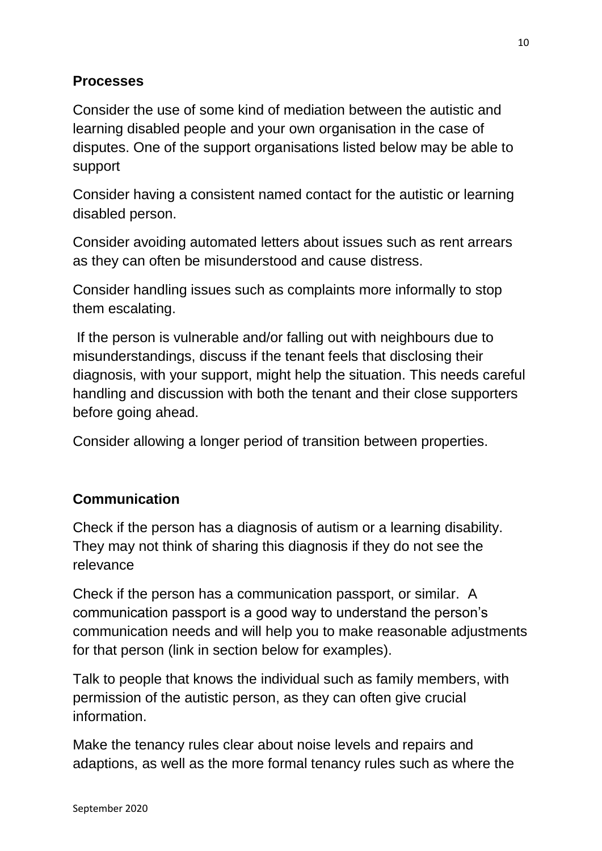#### **Processes**

Consider the use of some kind of mediation between the autistic and learning disabled people and your own organisation in the case of disputes. One of the support organisations listed below may be able to support

Consider having a consistent named contact for the autistic or learning disabled person.

Consider avoiding automated letters about issues such as rent arrears as they can often be misunderstood and cause distress.

Consider handling issues such as complaints more informally to stop them escalating.

If the person is vulnerable and/or falling out with neighbours due to misunderstandings, discuss if the tenant feels that disclosing their diagnosis, with your support, might help the situation. This needs careful handling and discussion with both the tenant and their close supporters before going ahead.

Consider allowing a longer period of transition between properties.

#### **Communication**

Check if the person has a diagnosis of autism or a learning disability. They may not think of sharing this diagnosis if they do not see the relevance

Check if the person has a communication passport, or similar. A communication passport is a good way to understand the person's communication needs and will help you to make reasonable adjustments for that person (link in section below for examples).

Talk to people that knows the individual such as family members, with permission of the autistic person, as they can often give crucial information.

Make the tenancy rules clear about noise levels and repairs and adaptions, as well as the more formal tenancy rules such as where the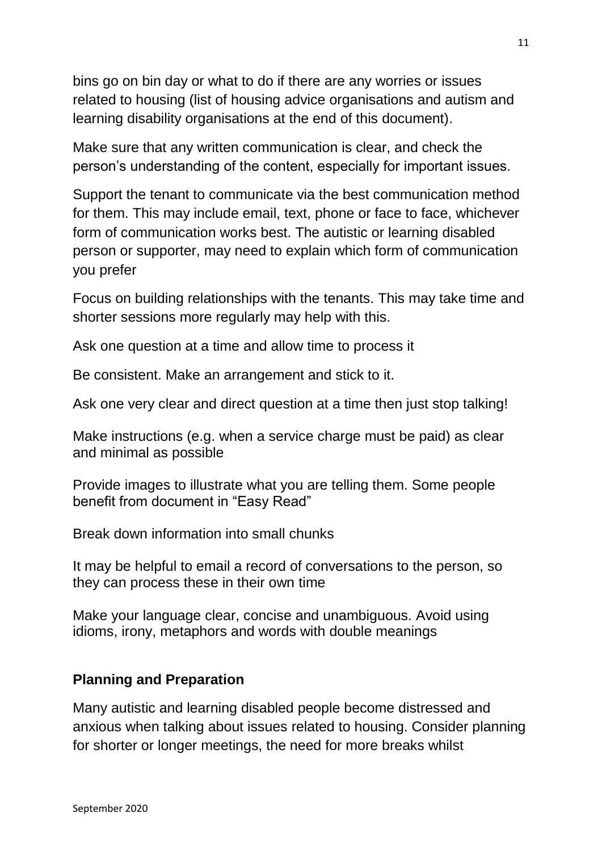bins go on bin day or what to do if there are any worries or issues related to housing (list of housing advice organisations and autism and learning disability organisations at the end of this document).

Make sure that any written communication is clear, and check the person's understanding of the content, especially for important issues.

Support the tenant to communicate via the best communication method for them. This may include email, text, phone or face to face, whichever form of communication works best. The autistic or learning disabled person or supporter, may need to explain which form of communication you prefer

Focus on building relationships with the tenants. This may take time and shorter sessions more regularly may help with this.

Ask one question at a time and allow time to process it

Be consistent. Make an arrangement and stick to it.

Ask one very clear and direct question at a time then just stop talking!

Make instructions (e.g. when a service charge must be paid) as clear and minimal as possible

Provide images to illustrate what you are telling them. Some people benefit from document in "Easy Read"

Break down information into small chunks

It may be helpful to email a record of conversations to the person, so they can process these in their own time

Make your language clear, concise and unambiguous. Avoid using idioms, irony, metaphors and words with double meanings

#### **Planning and Preparation**

Many autistic and learning disabled people become distressed and anxious when talking about issues related to housing. Consider planning for shorter or longer meetings, the need for more breaks whilst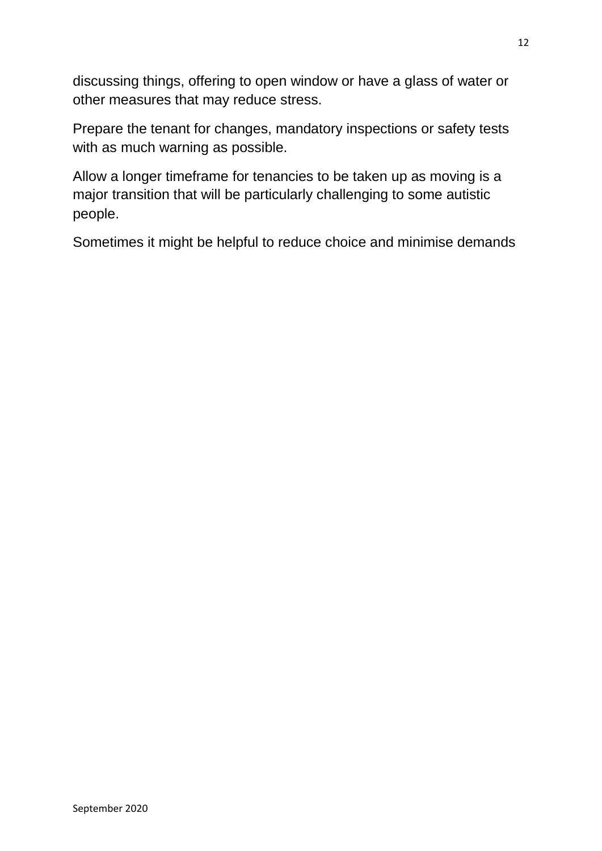discussing things, offering to open window or have a glass of water or other measures that may reduce stress.

Prepare the tenant for changes, mandatory inspections or safety tests with as much warning as possible.

Allow a longer timeframe for tenancies to be taken up as moving is a major transition that will be particularly challenging to some autistic people.

Sometimes it might be helpful to reduce choice and minimise demands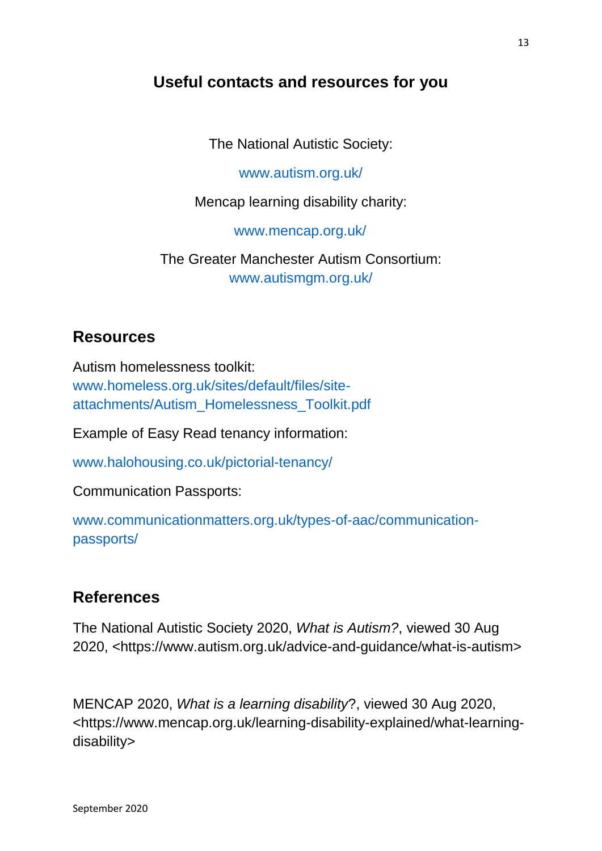#### **Useful contacts and resources for you**

The National Autistic Society:

[www.autism.org.uk/](http://www.autism.org.uk/)

Mencap learning disability charity:

[www.mencap.org.uk/](http://www.mencap.org.uk/)

The Greater Manchester Autism Consortium: www.autismgm.org.uk/

#### **Resources**

Autism homelessness toolkit: [www.homeless.org.uk/sites/default/files/site](http://www.homeless.org.uk/sites/default/files/site-attachments/Autism_Homelessness_Toolkit.pdf)[attachments/Autism\\_Homelessness\\_Toolkit.pdf](http://www.homeless.org.uk/sites/default/files/site-attachments/Autism_Homelessness_Toolkit.pdf)

Example of Easy Read tenancy information:

[www.halohousing.co.uk/pictorial-tenancy/](http://www.halohousing.co.uk/pictorial-tenancy/)

Communication Passports:

[www.communicationmatters.org.uk/types-of-aac/communication](http://www.communicationmatters.org.uk/types-of-aac/communication-passports/)[passports/](http://www.communicationmatters.org.uk/types-of-aac/communication-passports/)

#### **References**

The National Autistic Society 2020, *What is Autism?*, viewed 30 Aug 2020, [<https://www.autism.org.uk/advice-and-guidance/what-is-autism>](https://www.autism.org.uk/advice-and-guidance/what-is-autism)

MENCAP 2020, *What is a learning disability*?, viewed 30 Aug 2020, [<https://www.mencap.org.uk/learning-disability-explained/what-learning](https://www.mencap.org.uk/learning-disability-explained/what-learning-disability)[disability>](https://www.mencap.org.uk/learning-disability-explained/what-learning-disability)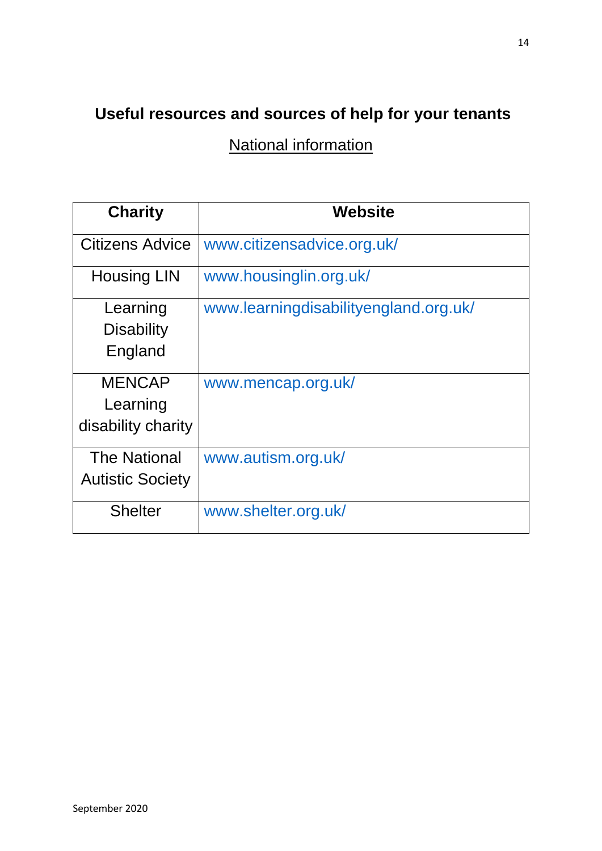# **Useful resources and sources of help for your tenants**

National information

| <b>Charity</b>                                  | <b>Website</b>                        |
|-------------------------------------------------|---------------------------------------|
| <b>Citizens Advice</b>                          | www.citizensadvice.org.uk/            |
| <b>Housing LIN</b>                              | www.housinglin.org.uk/                |
| Learning<br><b>Disability</b><br>England        | www.learningdisabilityengland.org.uk/ |
| <b>MENCAP</b><br>Learning<br>disability charity | www.mencap.org.uk/                    |
| <b>The National</b><br><b>Autistic Society</b>  | www.autism.org.uk/                    |
| <b>Shelter</b>                                  | www.shelter.org.uk/                   |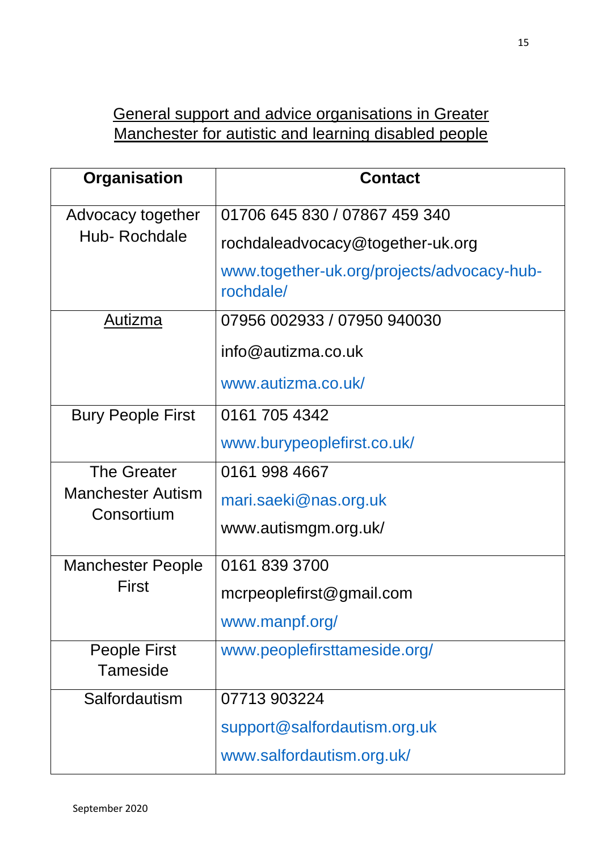## General support and advice organisations in Greater Manchester for autistic and learning disabled people

| <b>Organisation</b>                    | <b>Contact</b>                                          |
|----------------------------------------|---------------------------------------------------------|
| Advocacy together                      | 01706 645 830 / 07867 459 340                           |
| Hub-Rochdale                           | rochdaleadvocacy@together-uk.org                        |
|                                        | www.together-uk.org/projects/advocacy-hub-<br>rochdale/ |
| <u>Autizma</u>                         | 07956 002933 / 07950 940030                             |
|                                        | info@autizma.co.uk                                      |
|                                        | www.autizma.co.uk/                                      |
| <b>Bury People First</b>               | 0161 705 4342                                           |
|                                        | www.burypeoplefirst.co.uk/                              |
| <b>The Greater</b>                     | 0161 998 4667                                           |
| <b>Manchester Autism</b><br>Consortium | mari.saeki@nas.org.uk                                   |
|                                        | www.autismgm.org.uk/                                    |
| <b>Manchester People</b>               | 0161 839 3700                                           |
| First                                  | mcrpeoplefirst@gmail.com                                |
|                                        | www.manpf.org/                                          |
| <b>People First</b><br><b>Tameside</b> | www.peoplefirsttameside.org/                            |
| Salfordautism                          | 07713 903224                                            |
|                                        | support@salfordautism.org.uk                            |
|                                        | www.salfordautism.org.uk/                               |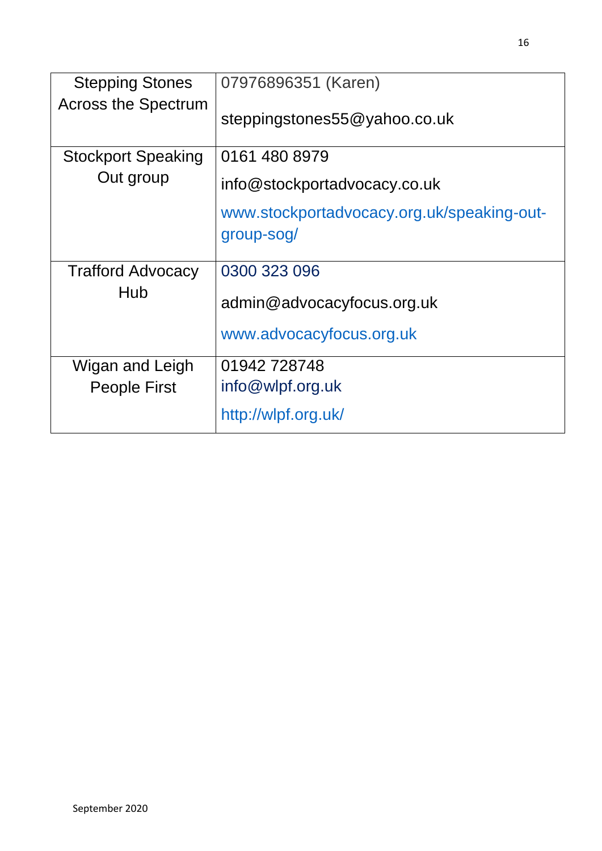| <b>Stepping Stones</b>     | 07976896351 (Karen)                        |
|----------------------------|--------------------------------------------|
| <b>Across the Spectrum</b> | steppingstones55@yahoo.co.uk               |
| <b>Stockport Speaking</b>  | 0161 480 8979                              |
| Out group                  | info@stockportadvocacy.co.uk               |
|                            | www.stockportadvocacy.org.uk/speaking-out- |
|                            | group-sog/                                 |
| <b>Trafford Advocacy</b>   | 0300 323 096                               |
| Hub                        | admin@advocacyfocus.org.uk                 |
|                            | www.advocacyfocus.org.uk                   |
| Wigan and Leigh            | 01942728748                                |
| <b>People First</b>        | info@wlpf.org.uk                           |
|                            | http://wlpf.org.uk/                        |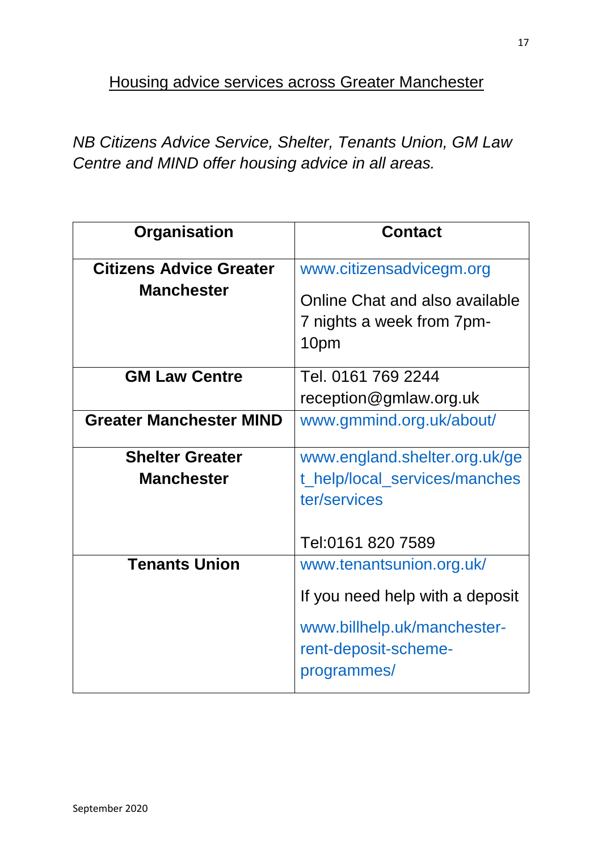Housing advice services across Greater Manchester

*NB Citizens Advice Service, Shelter, Tenants Union, GM Law Centre and MIND offer housing advice in all areas.* 

| Organisation                   | <b>Contact</b>                                                     |
|--------------------------------|--------------------------------------------------------------------|
| <b>Citizens Advice Greater</b> | www.citizensadvicegm.org                                           |
| <b>Manchester</b>              | Online Chat and also available<br>7 nights a week from 7pm-        |
|                                | 10pm                                                               |
| <b>GM Law Centre</b>           | Tel. 0161 769 2244                                                 |
|                                | reception@gmlaw.org.uk                                             |
| <b>Greater Manchester MIND</b> | www.gmmind.org.uk/about/                                           |
| <b>Shelter Greater</b>         | www.england.shelter.org.uk/ge                                      |
| <b>Manchester</b>              | t_help/local_services/manches                                      |
|                                | ter/services                                                       |
|                                | Tel:0161 820 7589                                                  |
| <b>Tenants Union</b>           | www.tenantsunion.org.uk/                                           |
|                                | If you need help with a deposit                                    |
|                                | www.billhelp.uk/manchester-<br>rent-deposit-scheme-<br>programmes/ |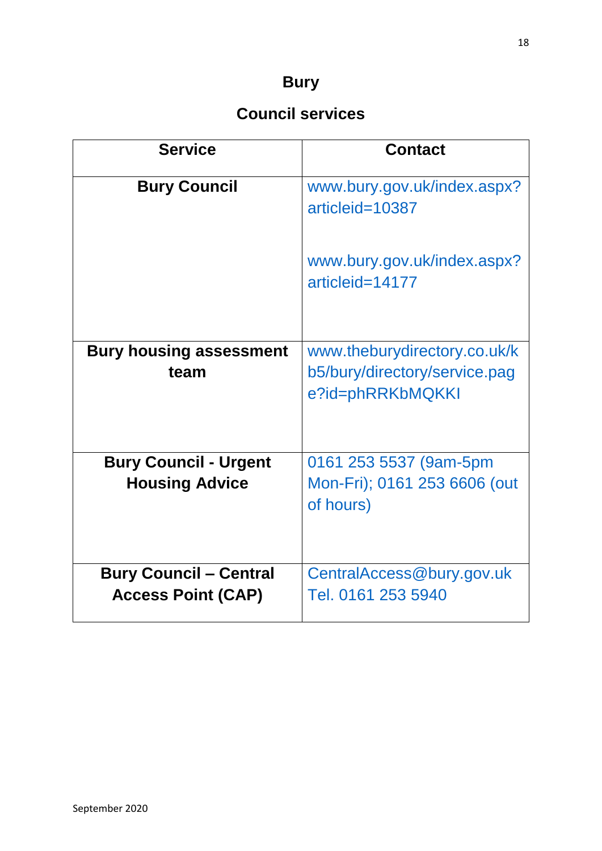### **Bury**

# **Council services**

| <b>Service</b>                                             | <b>Contact</b>                                                                    |
|------------------------------------------------------------|-----------------------------------------------------------------------------------|
| <b>Bury Council</b>                                        | www.bury.gov.uk/index.aspx?<br>articleid=10387                                    |
|                                                            | www.bury.gov.uk/index.aspx?<br>articleid=14177                                    |
| <b>Bury housing assessment</b><br>team                     | www.theburydirectory.co.uk/k<br>b5/bury/directory/service.pag<br>e?id=phRRKbMQKKI |
| <b>Bury Council - Urgent</b><br><b>Housing Advice</b>      | 0161 253 5537 (9am-5pm<br>Mon-Fri); 0161 253 6606 (out<br>of hours)               |
| <b>Bury Council - Central</b><br><b>Access Point (CAP)</b> | CentralAccess@bury.gov.uk<br>Tel. 0161 253 5940                                   |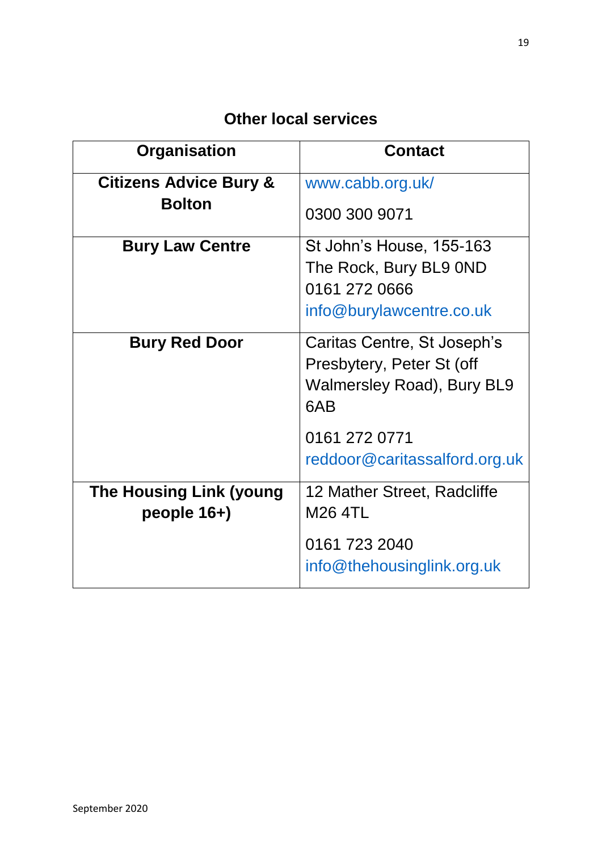| Organisation                                     | <b>Contact</b>                                                                                       |
|--------------------------------------------------|------------------------------------------------------------------------------------------------------|
| <b>Citizens Advice Bury &amp;</b>                | www.cabb.org.uk/                                                                                     |
| <b>Bolton</b>                                    | 0300 300 9071                                                                                        |
| <b>Bury Law Centre</b>                           | St John's House, 155-163<br>The Rock, Bury BL9 0ND<br>0161 272 0666<br>info@burylawcentre.co.uk      |
| <b>Bury Red Door</b>                             | Caritas Centre, St Joseph's<br>Presbytery, Peter St (off<br><b>Walmersley Road), Bury BL9</b><br>6AB |
|                                                  | 0161 272 0771<br>reddoor@caritassalford.org.uk                                                       |
| <b>The Housing Link (young</b><br>people $16+$ ) | 12 Mather Street, Radcliffe<br><b>M26 4TL</b>                                                        |
|                                                  | 0161 723 2040<br>info@thehousinglink.org.uk                                                          |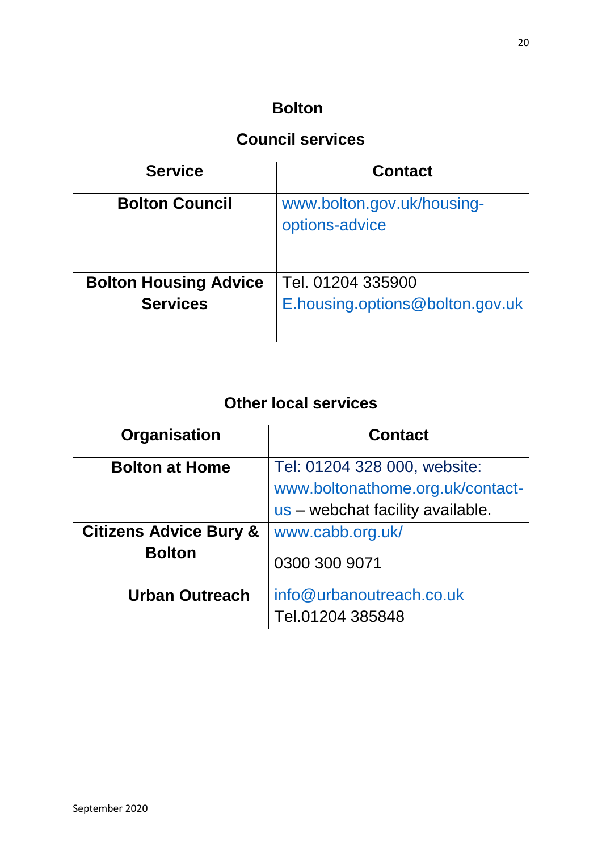#### **Bolton**

### **Council services**

| <b>Contact</b>                                       |
|------------------------------------------------------|
| www.bolton.gov.uk/housing-<br>options-advice         |
| Tel. 01204 335900<br>E.housing.options@bolton.gov.uk |
|                                                      |

| Organisation                      | <b>Contact</b>                                                   |
|-----------------------------------|------------------------------------------------------------------|
| <b>Bolton at Home</b>             | Tel: 01204 328 000, website:<br>www.boltonathome.org.uk/contact- |
|                                   | us – webchat facility available.                                 |
| <b>Citizens Advice Bury &amp;</b> | www.cabb.org.uk/                                                 |
| <b>Bolton</b>                     | 0300 300 9071                                                    |
| <b>Urban Outreach</b>             | info@urbanoutreach.co.uk                                         |
|                                   | Tel.01204 385848                                                 |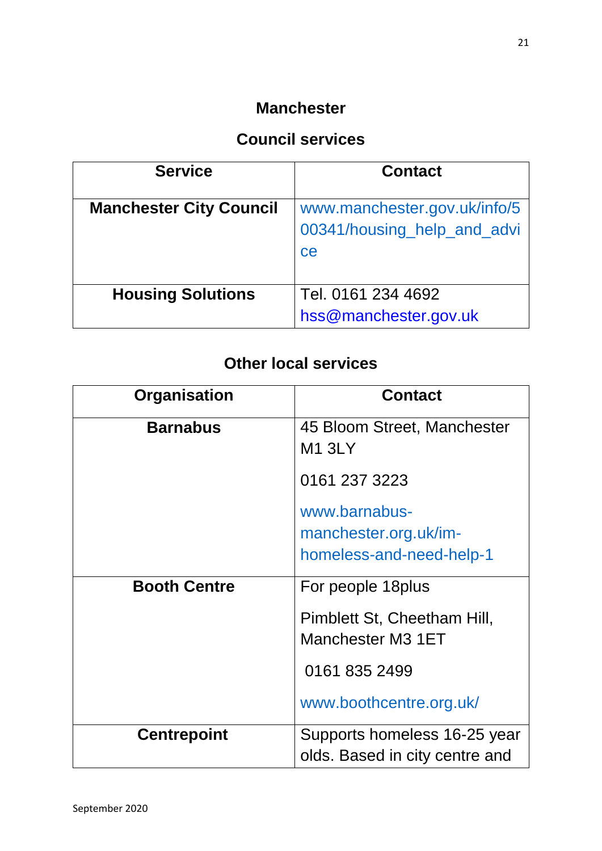#### **Manchester**

### **Council services**

| <b>Service</b>                 | <b>Contact</b>                                                    |
|--------------------------------|-------------------------------------------------------------------|
| <b>Manchester City Council</b> | www.manchester.gov.uk/info/5<br>00341/housing_help_and_advi<br>ce |
| <b>Housing Solutions</b>       | Tel. 0161 234 4692<br>hss@manchester.gov.uk                       |

| <b>Organisation</b> | <b>Contact</b>                                                     |
|---------------------|--------------------------------------------------------------------|
| <b>Barnabus</b>     | 45 Bloom Street, Manchester<br><b>M1 3LY</b>                       |
|                     | 0161 237 3223                                                      |
|                     | www.barnabus-<br>manchester.org.uk/im-<br>homeless-and-need-help-1 |
| <b>Booth Centre</b> | For people 18 plus                                                 |
|                     | Pimblett St, Cheetham Hill,<br>Manchester M3 1ET                   |
|                     | 0161 835 2499                                                      |
|                     | www.boothcentre.org.uk/                                            |
| <b>Centrepoint</b>  | Supports homeless 16-25 year<br>olds. Based in city centre and     |
|                     |                                                                    |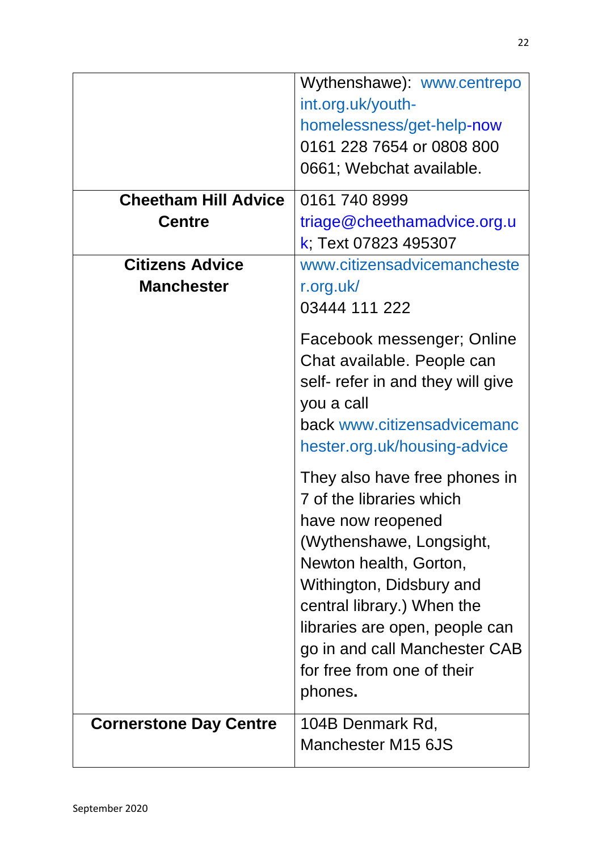|                                              | Wythenshawe): www.centrepo<br>int.org.uk/youth-<br>homelessness/get-help-now<br>0161 228 7654 or 0808 800<br>0661; Webchat available.                                                                                                                                                                      |
|----------------------------------------------|------------------------------------------------------------------------------------------------------------------------------------------------------------------------------------------------------------------------------------------------------------------------------------------------------------|
| <b>Cheetham Hill Advice</b><br><b>Centre</b> | 0161 740 8999<br>triage@cheethamadvice.org.u<br>k; Text 07823 495307                                                                                                                                                                                                                                       |
| <b>Citizens Advice</b><br><b>Manchester</b>  | www.citizensadvicemancheste<br>r.org.uk/<br>03444 111 222                                                                                                                                                                                                                                                  |
|                                              | Facebook messenger; Online<br>Chat available. People can<br>self- refer in and they will give<br>you a call<br>back www.citizensadvicemanc<br>hester.org.uk/housing-advice                                                                                                                                 |
|                                              | They also have free phones in<br>7 of the libraries which<br>have now reopened<br>(Wythenshawe, Longsight,<br>Newton health, Gorton,<br>Withington, Didsbury and<br>central library.) When the<br>libraries are open, people can<br>go in and call Manchester CAB<br>for free from one of their<br>phones. |
| <b>Cornerstone Day Centre</b>                | 104B Denmark Rd,<br>Manchester M15 6JS                                                                                                                                                                                                                                                                     |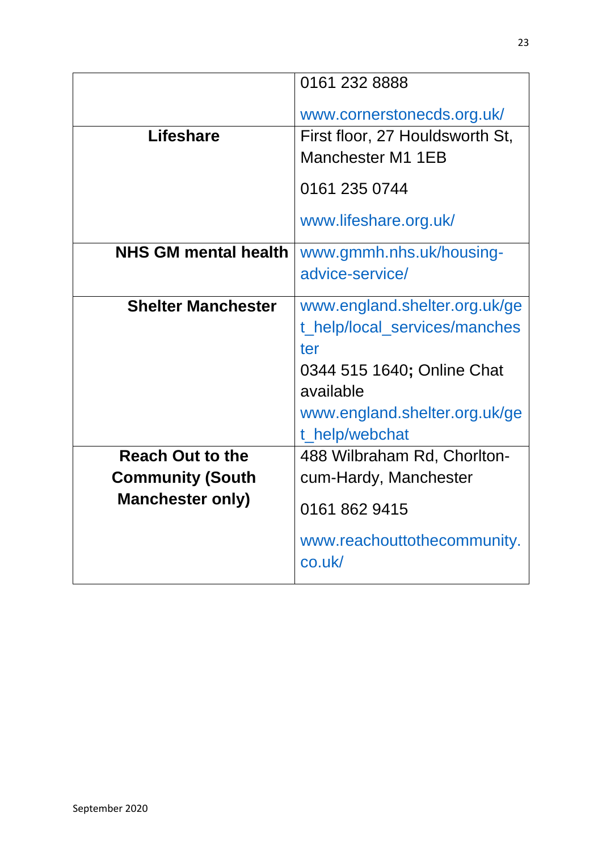|                             | 0161 232 8888                               |
|-----------------------------|---------------------------------------------|
|                             | www.cornerstonecds.org.uk/                  |
| <b>Lifeshare</b>            | First floor, 27 Houldsworth St,             |
|                             | Manchester M1 1EB                           |
|                             | 0161 235 0744                               |
|                             | www.lifeshare.org.uk/                       |
| <b>NHS GM mental health</b> | www.gmmh.nhs.uk/housing-                    |
|                             | advice-service/                             |
| <b>Shelter Manchester</b>   | www.england.shelter.org.uk/ge               |
|                             | t_help/local_services/manches               |
|                             | ter                                         |
|                             | 0344 515 1640; Online Chat                  |
|                             | available                                   |
|                             | www.england.shelter.org.uk/ge               |
|                             | t_help/webchat                              |
| <b>Reach Out to the</b>     | 488 Wilbraham Rd, Chorlton-                 |
| <b>Community (South</b>     | cum-Hardy, Manchester                       |
| <b>Manchester only)</b>     | 0161 862 9415                               |
|                             | www.reachouttothecommunity.<br>$co.$ uk $/$ |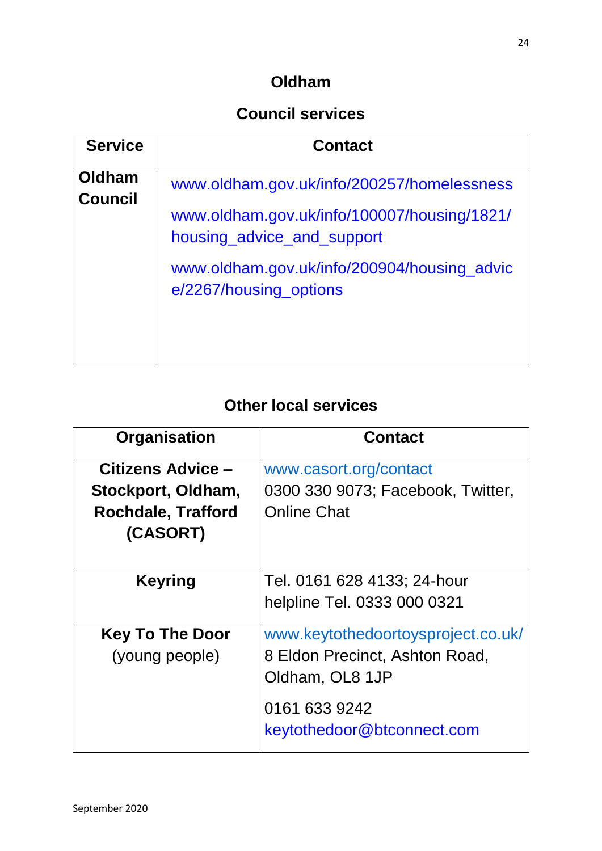#### **Oldham**

# **Council services**

| <b>Service</b>           | <b>Contact</b>                                                                                                          |
|--------------------------|-------------------------------------------------------------------------------------------------------------------------|
| Oldham<br><b>Council</b> | www.oldham.gov.uk/info/200257/homelessness<br>www.oldham.gov.uk/info/100007/housing/1821/<br>housing_advice_and_support |
|                          | www.oldham.gov.uk/info/200904/housing_advic<br>e/2267/housing_options                                                   |

| Organisation              | <b>Contact</b>                     |
|---------------------------|------------------------------------|
| Citizens Advice -         | www.casort.org/contact             |
| Stockport, Oldham,        | 0300 330 9073; Facebook, Twitter,  |
| <b>Rochdale, Trafford</b> | <b>Online Chat</b>                 |
| (CASORT)                  |                                    |
| <b>Keyring</b>            | Tel. 0161 628 4133; 24-hour        |
|                           |                                    |
|                           | helpline Tel. 0333 000 0321        |
| <b>Key To The Door</b>    | www.keytothedoortoysproject.co.uk/ |
| (young people)            | 8 Eldon Precinct, Ashton Road,     |
|                           | Oldham, OL8 1JP                    |
|                           | 0161 633 9242                      |
|                           | keytothedoor@btconnect.com         |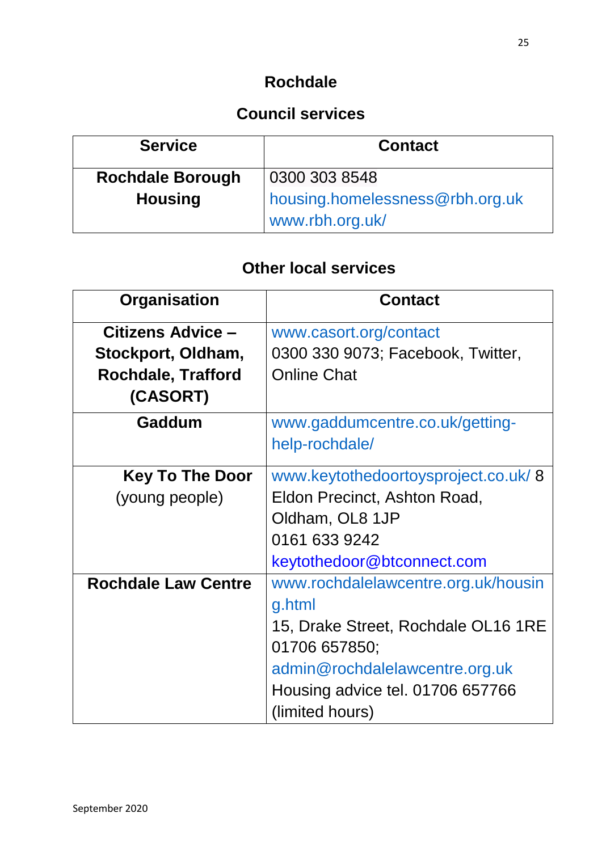### **Rochdale**

### **Council services**

| <b>Service</b>          | <b>Contact</b>                                     |
|-------------------------|----------------------------------------------------|
| <b>Rochdale Borough</b> | 0300 303 8548                                      |
| <b>Housing</b>          | housing.homelessness@rbh.org.uk<br>www.rbh.org.uk/ |

| Organisation               | <b>Contact</b>                      |
|----------------------------|-------------------------------------|
| Citizens Advice -          | www.casort.org/contact              |
| Stockport, Oldham,         | 0300 330 9073; Facebook, Twitter,   |
| <b>Rochdale, Trafford</b>  | <b>Online Chat</b>                  |
| (CASORT)                   |                                     |
| Gaddum                     | www.gaddumcentre.co.uk/getting-     |
|                            | help-rochdale/                      |
| <b>Key To The Door</b>     | www.keytothedoortoysproject.co.uk/8 |
| (young people)             | Eldon Precinct, Ashton Road,        |
|                            | Oldham, OL8 1JP                     |
|                            | 0161 633 9242                       |
|                            | keytothedoor@btconnect.com          |
| <b>Rochdale Law Centre</b> | www.rochdalelawcentre.org.uk/housin |
|                            | g.html                              |
|                            | 15, Drake Street, Rochdale OL16 1RE |
|                            | 01706 657850;                       |
|                            | admin@rochdalelawcentre.org.uk      |
|                            | Housing advice tel. 01706 657766    |
|                            | (limited hours)                     |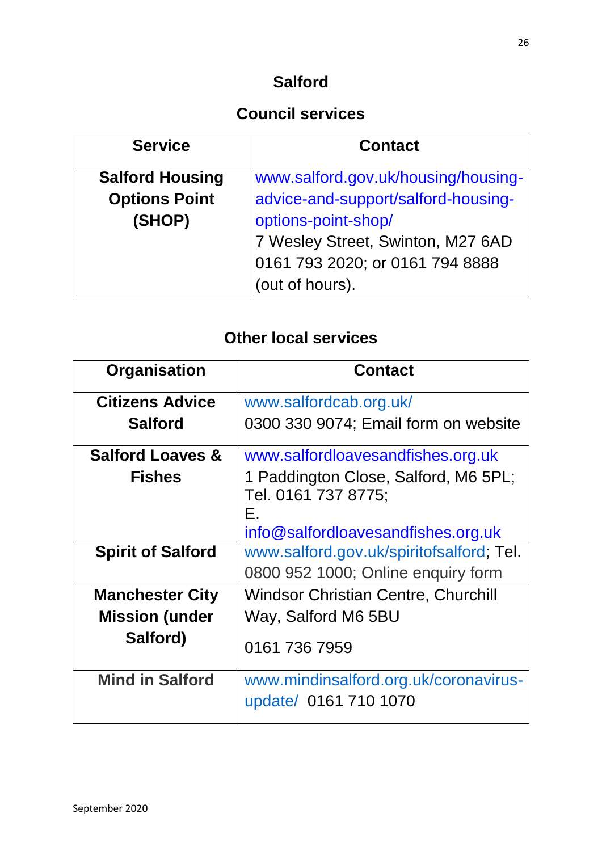#### **Salford**

### **Council services**

| <b>Service</b>         | <b>Contact</b>                      |
|------------------------|-------------------------------------|
| <b>Salford Housing</b> | www.salford.gov.uk/housing/housing- |
| <b>Options Point</b>   | advice-and-support/salford-housing- |
| (SHOP)                 | options-point-shop/                 |
|                        | 7 Wesley Street, Swinton, M27 6AD   |
|                        | 0161 793 2020; or 0161 794 8888     |
|                        | (out of hours).                     |

| Organisation                | <b>Contact</b>                                                                                          |
|-----------------------------|---------------------------------------------------------------------------------------------------------|
| <b>Citizens Advice</b>      | www.salfordcab.org.uk/                                                                                  |
| <b>Salford</b>              | 0300 330 9074; Email form on website                                                                    |
| <b>Salford Loaves &amp;</b> | www.salfordloavesandfishes.org.uk                                                                       |
| <b>Fishes</b>               | 1 Paddington Close, Salford, M6 5PL;<br>Tel. 0161 737 8775;<br>Е.<br>info@salfordloavesandfishes.org.uk |
| <b>Spirit of Salford</b>    | www.salford.gov.uk/spiritofsalford; Tel.                                                                |
|                             | 0800 952 1000; Online enquiry form                                                                      |
| <b>Manchester City</b>      | <b>Windsor Christian Centre, Churchill</b>                                                              |
| <b>Mission (under</b>       | Way, Salford M6 5BU                                                                                     |
| Salford)                    | 0161 736 7959                                                                                           |
| <b>Mind in Salford</b>      | www.mindinsalford.org.uk/coronavirus-<br>update/ 0161 710 1070                                          |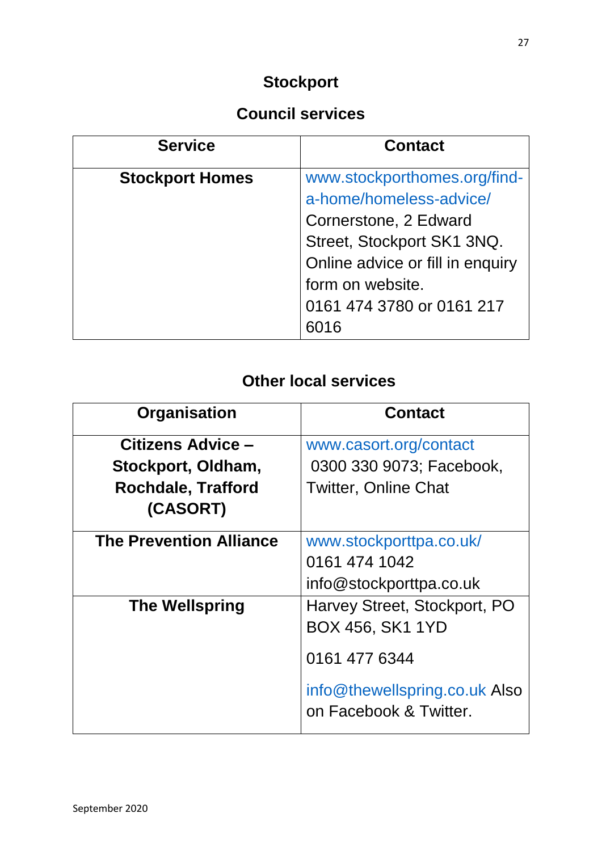# **Stockport**

# **Council services**

| <b>Service</b>         | <b>Contact</b>                   |
|------------------------|----------------------------------|
| <b>Stockport Homes</b> | www.stockporthomes.org/find-     |
|                        | a-home/homeless-advice/          |
|                        | Cornerstone, 2 Edward            |
|                        | Street, Stockport SK1 3NQ.       |
|                        | Online advice or fill in enquiry |
|                        | form on website.                 |
|                        | 0161 474 3780 or 0161 217        |
|                        |                                  |

| Organisation                   | <b>Contact</b>                                          |
|--------------------------------|---------------------------------------------------------|
| Citizens Advice -              | www.casort.org/contact                                  |
| Stockport, Oldham,             | 0300 330 9073; Facebook,                                |
| <b>Rochdale, Trafford</b>      | <b>Twitter, Online Chat</b>                             |
| (CASORT)                       |                                                         |
| <b>The Prevention Alliance</b> | www.stockporttpa.co.uk/                                 |
|                                | 0161 474 1042                                           |
|                                | info@stockporttpa.co.uk                                 |
| <b>The Wellspring</b>          | Harvey Street, Stockport, PO                            |
|                                | <b>BOX 456, SK1 1YD</b>                                 |
|                                | 0161 477 6344                                           |
|                                | info@thewellspring.co.uk Also<br>on Facebook & Twitter. |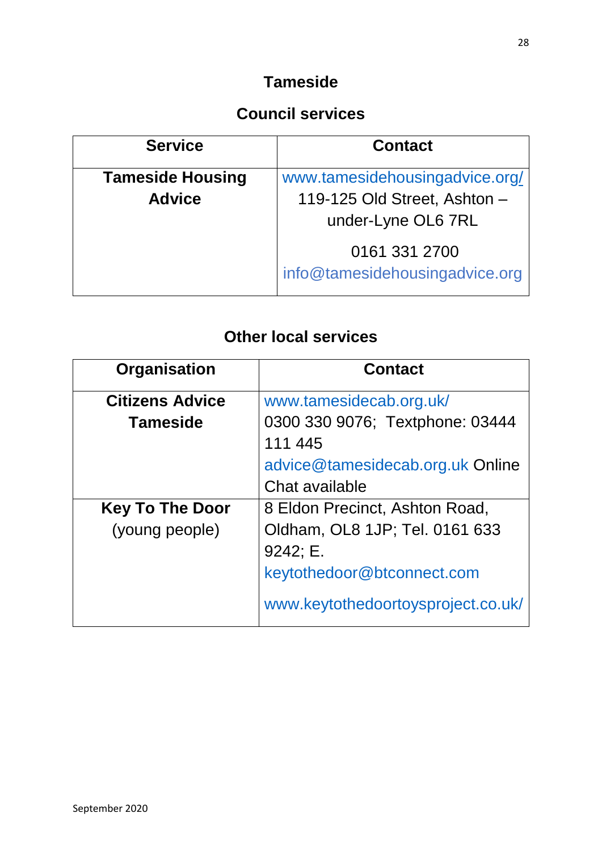#### **Tameside**

### **Council services**

| <b>Service</b>                           | <b>Contact</b>                                                                       |
|------------------------------------------|--------------------------------------------------------------------------------------|
| <b>Tameside Housing</b><br><b>Advice</b> | www.tamesidehousingadvice.org/<br>119-125 Old Street, Ashton -<br>under-Lyne OL6 7RL |
|                                          | 0161 331 2700<br>info@tamesidehousingadvice.org                                      |

| Organisation           | <b>Contact</b>                     |
|------------------------|------------------------------------|
| <b>Citizens Advice</b> | www.tamesidecab.org.uk/            |
| <b>Tameside</b>        | 0300 330 9076; Textphone: 03444    |
|                        | 111 445                            |
|                        | advice@tamesidecab.org.uk Online   |
|                        | Chat available                     |
| <b>Key To The Door</b> | 8 Eldon Precinct, Ashton Road,     |
| (young people)         | Oldham, OL8 1JP; Tel. 0161 633     |
|                        | 9242; E.                           |
|                        | keytothedoor@btconnect.com         |
|                        | www.keytothedoortoysproject.co.uk/ |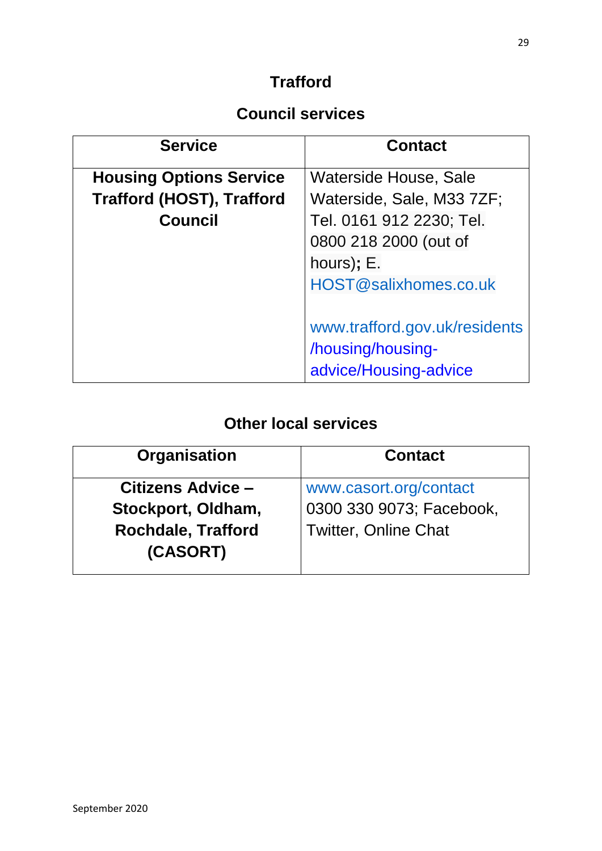### **Trafford**

### **Council services**

| <b>Service</b>                   | <b>Contact</b>                |
|----------------------------------|-------------------------------|
| <b>Housing Options Service</b>   | Waterside House, Sale         |
| <b>Trafford (HOST), Trafford</b> | Waterside, Sale, M33 7ZF;     |
| <b>Council</b>                   | Tel. 0161 912 2230; Tel.      |
|                                  | 0800 218 2000 (out of         |
|                                  | hours); E.                    |
|                                  | HOST@salixhomes.co.uk         |
|                                  |                               |
|                                  | www.trafford.gov.uk/residents |
|                                  | /housing/housing-             |
|                                  | advice/Housing-advice         |

| Organisation                          | <b>Contact</b>              |
|---------------------------------------|-----------------------------|
| Citizens Advice -                     | www.casort.org/contact      |
| Stockport, Oldham,                    | 0300 330 9073; Facebook,    |
| <b>Rochdale, Trafford</b><br>(CASORT) | <b>Twitter, Online Chat</b> |
|                                       |                             |